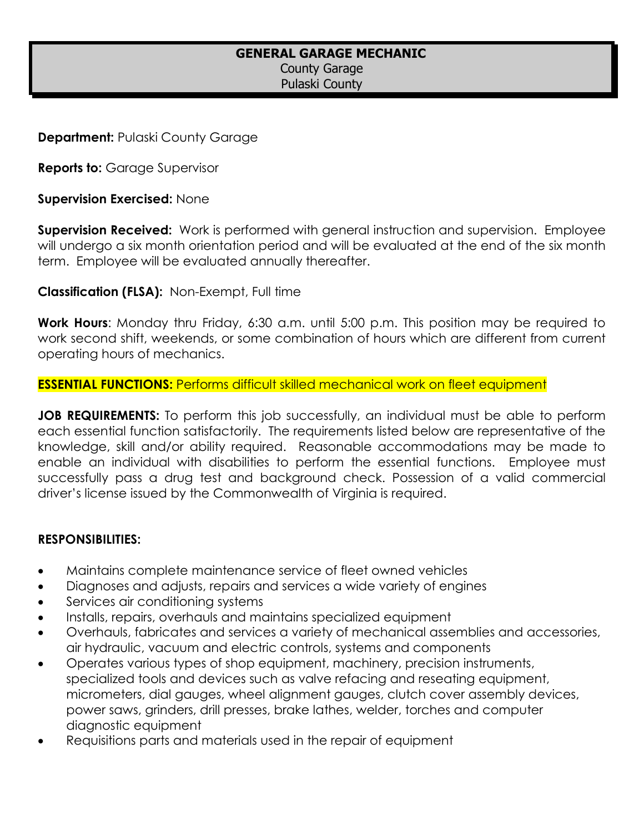## **GENERAL GARAGE MECHANIC**

County Garage Pulaski County

**Department:** Pulaski County Garage

**Reports to: Garage Supervisor** 

**Supervision Exercised:** None

**Supervision Received:** Work is performed with general instruction and supervision. Employee will undergo a six month orientation period and will be evaluated at the end of the six month term. Employee will be evaluated annually thereafter.

**Classification (FLSA):** Non-Exempt, Full time

**Work Hours**: Monday thru Friday, 6:30 a.m. until 5:00 p.m. This position may be required to work second shift, weekends, or some combination of hours which are different from current operating hours of mechanics.

**ESSENTIAL FUNCTIONS:** Performs difficult skilled mechanical work on fleet equipment

**JOB REQUIREMENTS:** To perform this job successfully, an individual must be able to perform each essential function satisfactorily. The requirements listed below are representative of the knowledge, skill and/or ability required. Reasonable accommodations may be made to enable an individual with disabilities to perform the essential functions. Employee must successfully pass a drug test and background check. Possession of a valid commercial driver's license issued by the Commonwealth of Virginia is required.

#### **RESPONSIBILITIES:**

- Maintains complete maintenance service of fleet owned vehicles
- Diagnoses and adjusts, repairs and services a wide variety of engines
- Services air conditioning systems
- Installs, repairs, overhauls and maintains specialized equipment
- Overhauls, fabricates and services a variety of mechanical assemblies and accessories, air hydraulic, vacuum and electric controls, systems and components
- Operates various types of shop equipment, machinery, precision instruments, specialized tools and devices such as valve refacing and reseating equipment, micrometers, dial gauges, wheel alignment gauges, clutch cover assembly devices, power saws, grinders, drill presses, brake lathes, welder, torches and computer diagnostic equipment
- Requisitions parts and materials used in the repair of equipment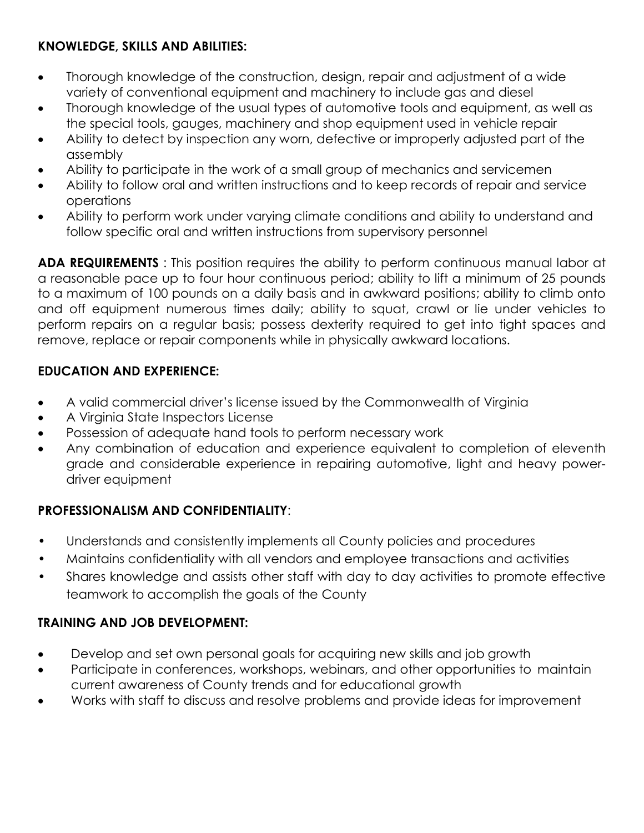# **KNOWLEDGE, SKILLS AND ABILITIES:**

- Thorough knowledge of the construction, design, repair and adjustment of a wide variety of conventional equipment and machinery to include gas and diesel
- Thorough knowledge of the usual types of automotive tools and equipment, as well as the special tools, gauges, machinery and shop equipment used in vehicle repair
- Ability to detect by inspection any worn, defective or improperly adjusted part of the assembly
- Ability to participate in the work of a small group of mechanics and servicemen
- Ability to follow oral and written instructions and to keep records of repair and service operations
- Ability to perform work under varying climate conditions and ability to understand and follow specific oral and written instructions from supervisory personnel

**ADA REQUIREMENTS** : This position requires the ability to perform continuous manual labor at a reasonable pace up to four hour continuous period; ability to lift a minimum of 25 pounds to a maximum of 100 pounds on a daily basis and in awkward positions; ability to climb onto and off equipment numerous times daily; ability to squat, crawl or lie under vehicles to perform repairs on a regular basis; possess dexterity required to get into tight spaces and remove, replace or repair components while in physically awkward locations.

## **EDUCATION AND EXPERIENCE:**

- A valid commercial driver's license issued by the Commonwealth of Virginia
- A Virginia State Inspectors License
- Possession of adequate hand tools to perform necessary work
- Any combination of education and experience equivalent to completion of eleventh grade and considerable experience in repairing automotive, light and heavy powerdriver equipment

## **PROFESSIONALISM AND CONFIDENTIALITY**:

- Understands and consistently implements all County policies and procedures
- Maintains confidentiality with all vendors and employee transactions and activities
- Shares knowledge and assists other staff with day to day activities to promote effective teamwork to accomplish the goals of the County

## **TRAINING AND JOB DEVELOPMENT:**

- Develop and set own personal goals for acquiring new skills and job growth
- Participate in conferences, workshops, webinars, and other opportunities to maintain current awareness of County trends and for educational growth
- Works with staff to discuss and resolve problems and provide ideas for improvement